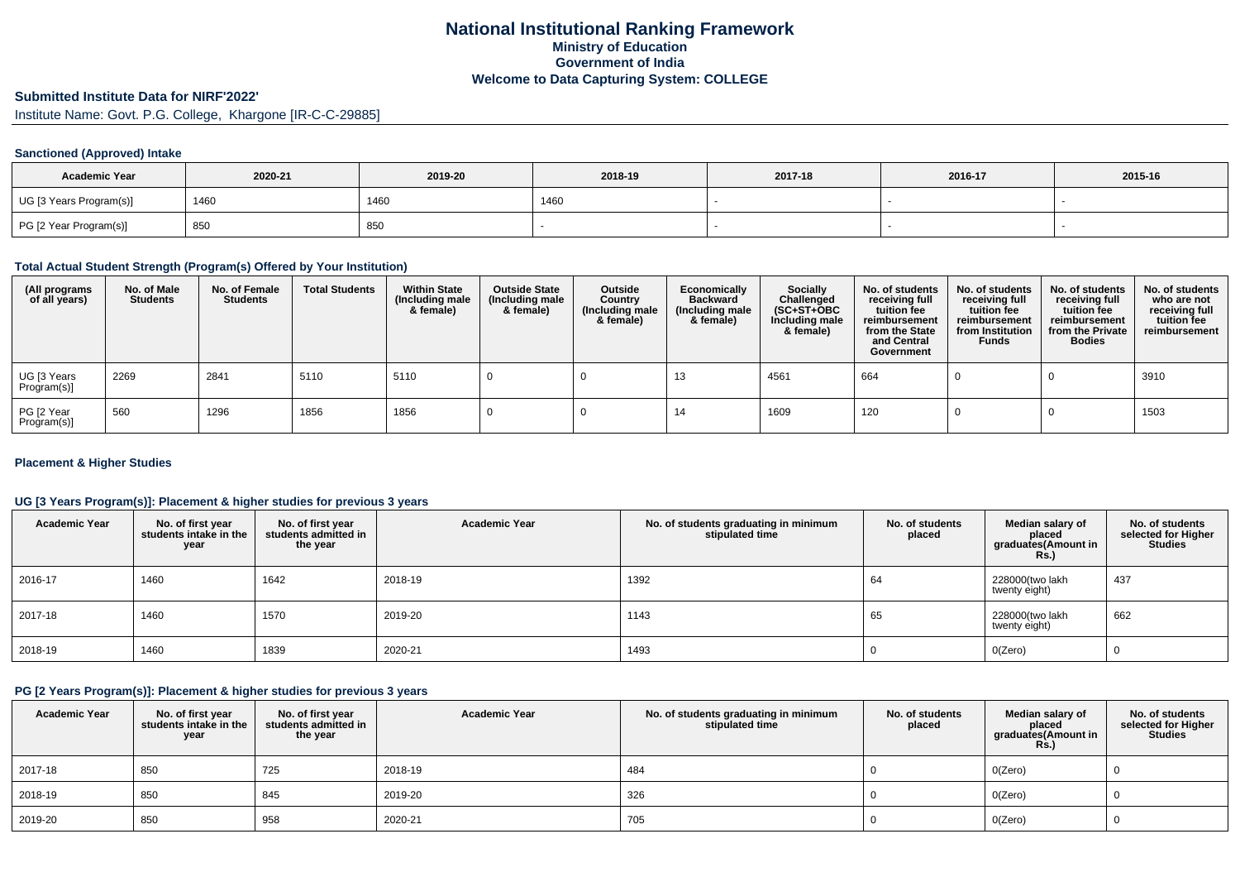# **Submitted Institute Data for NIRF'2022'**

Institute Name: Govt. P.G. College, Khargone [IR-C-C-29885]

#### **Sanctioned (Approved) Intake**

| <b>Academic Year</b>    | 2020-21 | 2019-20 | 2018-19 | 2017-18 | 2016-17 | 2015-16 |
|-------------------------|---------|---------|---------|---------|---------|---------|
| UG [3 Years Program(s)] | 1460    | 1460    | 1460    |         |         |         |
| PG [2 Year Program(s)]  | 850     | 850     |         |         |         |         |

# **Total Actual Student Strength (Program(s) Offered by Your Institution)**

| (All programs<br>of all years) | No. of Male<br><b>Students</b> | No. of Female<br><b>Students</b> | <b>Total Students</b> | <b>Within State</b><br>(Including male<br>& female) | <b>Outside State</b><br>(Including male<br>& female) | Outside<br>Country<br>Including male)<br>& female) | Economically<br>Backward<br>(Including male<br>& female) | Socially<br>Challenged<br>$(SC+ST+OBC)$<br>Including male<br>& female) | No. of students<br>receiving full<br>tuition fee<br>reimbursement<br>from the State<br>and Central<br>Government | No. of students<br>receiving full<br>tuition fee<br>reimbursement<br>from Institution<br><b>Funds</b> | No. of students<br>receiving full<br>tuition fee<br>reimbursement<br>from the Private<br><b>Bodies</b> | No. of students<br>who are not<br>receiving full<br>tuition fee<br>reimbursement |
|--------------------------------|--------------------------------|----------------------------------|-----------------------|-----------------------------------------------------|------------------------------------------------------|----------------------------------------------------|----------------------------------------------------------|------------------------------------------------------------------------|------------------------------------------------------------------------------------------------------------------|-------------------------------------------------------------------------------------------------------|--------------------------------------------------------------------------------------------------------|----------------------------------------------------------------------------------|
| UG [3 Years<br>Program(s)]     | 2269                           | 2841                             | 5110                  | 5110                                                |                                                      |                                                    | 13                                                       | 4561                                                                   | 664                                                                                                              |                                                                                                       |                                                                                                        | 3910                                                                             |
| PG [2 Year<br>Program(s)]      | 560                            | 1296                             | 1856                  | 1856                                                |                                                      |                                                    | 14                                                       | 1609                                                                   | 120                                                                                                              |                                                                                                       |                                                                                                        | 1503                                                                             |

#### **Placement & Higher Studies**

## **UG [3 Years Program(s)]: Placement & higher studies for previous 3 years**

| <b>Academic Year</b> | No. of first year<br>students intake in the<br>year | No. of first year<br>students admitted in<br>the year | <b>Academic Year</b> | No. of students graduating in minimum<br>stipulated time | No. of students<br>placed | Median salary of<br>placed<br>graduates(Amount in<br>Rs.) | No. of students<br>selected for Higher<br><b>Studies</b> |
|----------------------|-----------------------------------------------------|-------------------------------------------------------|----------------------|----------------------------------------------------------|---------------------------|-----------------------------------------------------------|----------------------------------------------------------|
| 2016-17              | 1460                                                | 1642                                                  | 2018-19              | 1392                                                     | 64                        | 228000(two lakh<br>twenty eight)                          | 437                                                      |
| 2017-18              | 1460                                                | 1570                                                  | 2019-20              | 1143                                                     | 65                        | 228000(two lakh<br>twenty eight)                          | 662                                                      |
| 2018-19              | 1460                                                | 1839                                                  | 2020-21              | 1493                                                     |                           | O(Zero)                                                   | U                                                        |

## **PG [2 Years Program(s)]: Placement & higher studies for previous 3 years**

| <b>Academic Year</b> | No. of first year<br>students intake in the<br>year | No. of first year<br>students admitted in<br>the year | <b>Academic Year</b> | No. of students graduating in minimum<br>stipulated time | No. of students<br>placed | Median salarv of<br>placed<br>graduates(Amount in<br><b>Rs.)</b> | No. of students<br>selected for Higher<br>Studies |
|----------------------|-----------------------------------------------------|-------------------------------------------------------|----------------------|----------------------------------------------------------|---------------------------|------------------------------------------------------------------|---------------------------------------------------|
| 2017-18              | 850                                                 | 725                                                   | 2018-19              | 484                                                      |                           | O(Zero)                                                          |                                                   |
| 2018-19              | 850                                                 | 845                                                   | 2019-20              | 326                                                      |                           | O(Zero)                                                          |                                                   |
| 2019-20              | 850                                                 | 958                                                   | 2020-21              | 705                                                      |                           | O(Zero)                                                          |                                                   |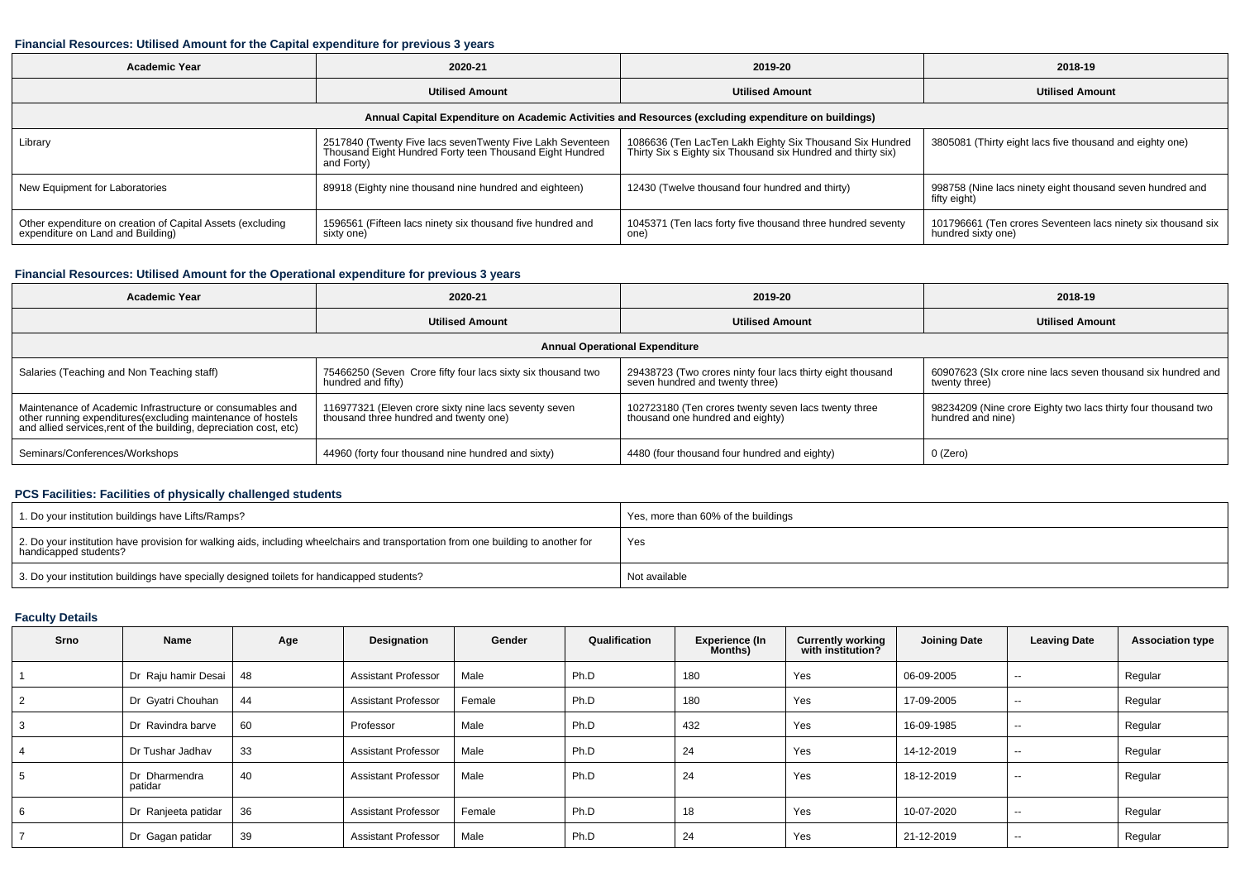#### **Financial Resources: Utilised Amount for the Capital expenditure for previous 3 years**

| Academic Year                                                                                        | 2020-21                                                                                                                             | 2019-20                                                                                                                  | 2018-19                                                                            |  |  |  |  |  |  |  |
|------------------------------------------------------------------------------------------------------|-------------------------------------------------------------------------------------------------------------------------------------|--------------------------------------------------------------------------------------------------------------------------|------------------------------------------------------------------------------------|--|--|--|--|--|--|--|
|                                                                                                      | <b>Utilised Amount</b>                                                                                                              | <b>Utilised Amount</b>                                                                                                   | <b>Utilised Amount</b>                                                             |  |  |  |  |  |  |  |
| Annual Capital Expenditure on Academic Activities and Resources (excluding expenditure on buildings) |                                                                                                                                     |                                                                                                                          |                                                                                    |  |  |  |  |  |  |  |
| Library                                                                                              | 2517840 (Twenty Five lacs sevenTwenty Five Lakh Seventeen<br>Thousand Eight Hundred Forty teen Thousand Eight Hundred<br>and Forty) | 1086636 (Ten LacTen Lakh Eighty Six Thousand Six Hundred<br>Thirty Six s Eighty six Thousand six Hundred and thirty six) | 3805081 (Thirty eight lacs five thousand and eighty one)                           |  |  |  |  |  |  |  |
| New Equipment for Laboratories                                                                       | 89918 (Eighty nine thousand nine hundred and eighteen)                                                                              | 12430 (Twelve thousand four hundred and thirty)                                                                          | 998758 (Nine lacs ninety eight thousand seven hundred and<br>fifty eight)          |  |  |  |  |  |  |  |
| Other expenditure on creation of Capital Assets (excluding<br>expenditure on Land and Building)      | 1596561 (Fifteen lacs ninety six thousand five hundred and<br>sixty one)                                                            | 1045371 (Ten lacs forty five thousand three hundred seventy<br>one)                                                      | 101796661 (Ten crores Seventeen lacs ninety six thousand six<br>hundred sixty one) |  |  |  |  |  |  |  |

## **Financial Resources: Utilised Amount for the Operational expenditure for previous 3 years**

| <b>Academic Year</b>                                                                                                                                                                            | 2020-21                                                                                         |                                                                                               | 2018-19                                                                            |  |  |  |  |  |  |  |
|-------------------------------------------------------------------------------------------------------------------------------------------------------------------------------------------------|-------------------------------------------------------------------------------------------------|-----------------------------------------------------------------------------------------------|------------------------------------------------------------------------------------|--|--|--|--|--|--|--|
|                                                                                                                                                                                                 | <b>Utilised Amount</b>                                                                          | <b>Utilised Amount</b>                                                                        | <b>Utilised Amount</b>                                                             |  |  |  |  |  |  |  |
| <b>Annual Operational Expenditure</b>                                                                                                                                                           |                                                                                                 |                                                                                               |                                                                                    |  |  |  |  |  |  |  |
| Salaries (Teaching and Non Teaching staff)                                                                                                                                                      | 75466250 (Seven Crore fifty four lacs sixty six thousand two<br>hundred and fifty)              | 29438723 (Two crores ninty four lacs thirty eight thousand<br>seven hundred and twenty three) | 60907623 (SIx crore nine lacs seven thousand six hundred and<br>twenty three)      |  |  |  |  |  |  |  |
| Maintenance of Academic Infrastructure or consumables and<br>other running expenditures (excluding maintenance of hostels<br>and allied services, rent of the building, depreciation cost, etc) | 116977321 (Eleven crore sixty nine lacs seventy seven<br>thousand three hundred and twenty one) | 102723180 (Ten crores twenty seven lacs twenty three<br>thousand one hundred and eighty)      | 98234209 (Nine crore Eighty two lacs thirty four thousand two<br>hundred and nine) |  |  |  |  |  |  |  |
| Seminars/Conferences/Workshops                                                                                                                                                                  | 44960 (forty four thousand nine hundred and sixty)                                              | 4480 (four thousand four hundred and eighty)                                                  | 0 (Zero)                                                                           |  |  |  |  |  |  |  |

## **PCS Facilities: Facilities of physically challenged students**

| 1. Do your institution buildings have Lifts/Ramps?                                                                                                         | Yes, more than 60% of the buildings |
|------------------------------------------------------------------------------------------------------------------------------------------------------------|-------------------------------------|
| 2. Do your institution have provision for walking aids, including wheelchairs and transportation from one building to another for<br>handicapped students? | Yes                                 |
| 3. Do your institution buildings have specially designed toilets for handicapped students?                                                                 | Not available                       |

## **Faculty Details**

| Srno | Name                     | Age | Designation                | Gender | Qualification | <b>Experience (In</b><br>Months) | <b>Currently working</b><br>with institution? | <b>Joining Date</b> | <b>Leaving Date</b>      | <b>Association type</b> |
|------|--------------------------|-----|----------------------------|--------|---------------|----------------------------------|-----------------------------------------------|---------------------|--------------------------|-------------------------|
|      | Dr Raju hamir Desai      | 48  | <b>Assistant Professor</b> | Male   | Ph.D          | 180                              | Yes                                           | 06-09-2005          | $\sim$                   | Regular                 |
| 2    | Dr Gyatri Chouhan        | 44  | <b>Assistant Professor</b> | Female | Ph.D          | 180                              | Yes                                           | 17-09-2005          | $\sim$ $\sim$            | Regular                 |
| 3    | Dr Ravindra barve        | 60  | Professor                  | Male   | Ph.D          | 432                              | Yes                                           | 16-09-1985          | $\sim$                   | Regular                 |
|      | Dr Tushar Jadhav         | 33  | <b>Assistant Professor</b> | Male   | Ph.D          | 24                               | Yes                                           | 14-12-2019          | $\sim$                   | Regular                 |
| 5    | Dr Dharmendra<br>patidar | 40  | <b>Assistant Professor</b> | Male   | Ph.D          | 24                               | Yes                                           | 18-12-2019          | $- -$                    | Regular                 |
| 6    | Dr Ranjeeta patidar      | 36  | <b>Assistant Professor</b> | Female | Ph.D          | 18                               | Yes                                           | 10-07-2020          | $\overline{\phantom{a}}$ | Regular                 |
|      | Dr Gagan patidar         | 39  | <b>Assistant Professor</b> | Male   | Ph.D          | 24                               | Yes                                           | 21-12-2019          | $\sim$                   | Regular                 |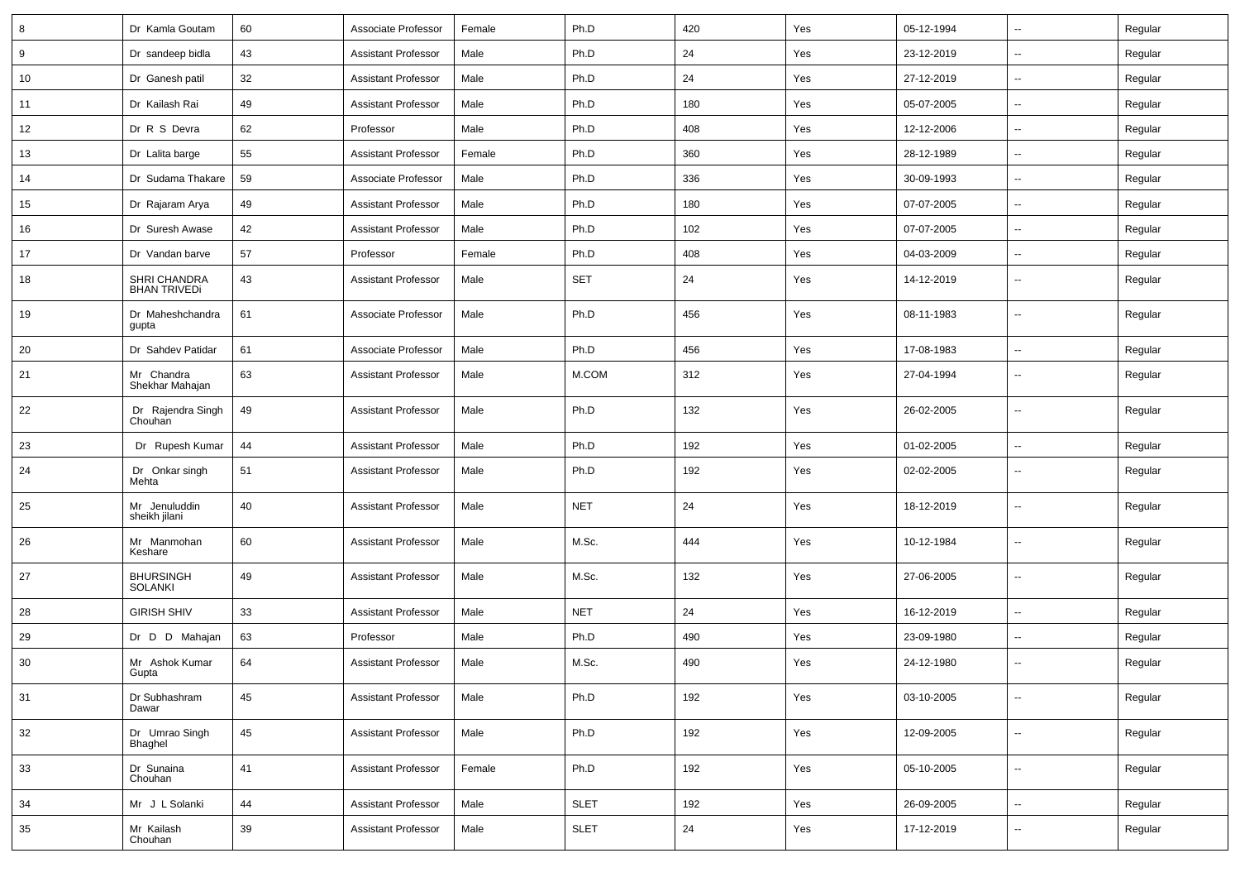| 8  | Dr Kamla Goutam                     | 60 | Associate Professor        | Female | Ph.D        | 420 | Yes | 05-12-1994 | ⊷.                       | Regular |
|----|-------------------------------------|----|----------------------------|--------|-------------|-----|-----|------------|--------------------------|---------|
| 9  | Dr sandeep bidla                    | 43 | <b>Assistant Professor</b> | Male   | Ph.D        | 24  | Yes | 23-12-2019 | --                       | Regular |
| 10 | Dr Ganesh patil                     | 32 | <b>Assistant Professor</b> | Male   | Ph.D        | 24  | Yes | 27-12-2019 | -−                       | Regular |
| 11 | Dr Kailash Rai                      | 49 | <b>Assistant Professor</b> | Male   | Ph.D        | 180 | Yes | 05-07-2005 | --                       | Regular |
| 12 | Dr R S Devra                        | 62 | Professor                  | Male   | Ph.D        | 408 | Yes | 12-12-2006 | -−                       | Regular |
| 13 | Dr Lalita barge                     | 55 | <b>Assistant Professor</b> | Female | Ph.D        | 360 | Yes | 28-12-1989 | $\overline{\phantom{a}}$ | Regular |
| 14 | Dr Sudama Thakare                   | 59 | Associate Professor        | Male   | Ph.D        | 336 | Yes | 30-09-1993 | ⊷.                       | Regular |
| 15 | Dr Rajaram Arya                     | 49 | <b>Assistant Professor</b> | Male   | Ph.D        | 180 | Yes | 07-07-2005 | -−                       | Regular |
| 16 | Dr Suresh Awase                     | 42 | <b>Assistant Professor</b> | Male   | Ph.D        | 102 | Yes | 07-07-2005 | $\overline{\phantom{a}}$ | Regular |
| 17 | Dr Vandan barve                     | 57 | Professor                  | Female | Ph.D        | 408 | Yes | 04-03-2009 | --                       | Regular |
| 18 | SHRI CHANDRA<br><b>BHAN TRIVEDi</b> | 43 | <b>Assistant Professor</b> | Male   | <b>SET</b>  | 24  | Yes | 14-12-2019 | --                       | Regular |
| 19 | Dr Maheshchandra<br>gupta           | 61 | Associate Professor        | Male   | Ph.D        | 456 | Yes | 08-11-1983 | --                       | Regular |
| 20 | Dr Sahdev Patidar                   | 61 | Associate Professor        | Male   | Ph.D        | 456 | Yes | 17-08-1983 | --                       | Regular |
| 21 | Mr Chandra<br>Shekhar Mahajan       | 63 | <b>Assistant Professor</b> | Male   | M.COM       | 312 | Yes | 27-04-1994 | $\overline{\phantom{a}}$ | Regular |
| 22 | Dr Rajendra Singh<br>Chouhan        | 49 | <b>Assistant Professor</b> | Male   | Ph.D        | 132 | Yes | 26-02-2005 | $\sim$                   | Regular |
| 23 | Dr Rupesh Kumar                     | 44 | <b>Assistant Professor</b> | Male   | Ph.D        | 192 | Yes | 01-02-2005 | $\mathbf{u}$             | Regular |
| 24 | Dr Onkar singh<br>Mehta             | 51 | <b>Assistant Professor</b> | Male   | Ph.D        | 192 | Yes | 02-02-2005 | --                       | Regular |
| 25 | Mr Jenuluddin<br>sheikh jilani      | 40 | <b>Assistant Professor</b> | Male   | <b>NET</b>  | 24  | Yes | 18-12-2019 | $\overline{\phantom{a}}$ | Regular |
| 26 | Mr Manmohan<br>Keshare              | 60 | <b>Assistant Professor</b> | Male   | M.Sc.       | 444 | Yes | 10-12-1984 | $\overline{\phantom{a}}$ | Regular |
| 27 | <b>BHURSINGH</b><br><b>SOLANKI</b>  | 49 | <b>Assistant Professor</b> | Male   | M.Sc.       | 132 | Yes | 27-06-2005 | $\overline{\phantom{a}}$ | Regular |
| 28 | <b>GIRISH SHIV</b>                  | 33 | <b>Assistant Professor</b> | Male   | <b>NET</b>  | 24  | Yes | 16-12-2019 | ⊷.                       | Regular |
| 29 | Dr D D Mahajan                      | 63 | Professor                  | Male   | Ph.D        | 490 | Yes | 23-09-1980 | -−                       | Regular |
| 30 | Mr Ashok Kumar<br>Gupta             | 64 | <b>Assistant Professor</b> | Male   | M.Sc.       | 490 | Yes | 24-12-1980 | --                       | Regular |
| 31 | Dr Subhashram<br>Dawar              | 45 | <b>Assistant Professor</b> | Male   | Ph.D        | 192 | Yes | 03-10-2005 | $\sim$                   | Regular |
| 32 | Dr Umrao Singh<br>Bhaghel           | 45 | <b>Assistant Professor</b> | Male   | Ph.D        | 192 | Yes | 12-09-2005 | Ξ.                       | Regular |
| 33 | Dr Sunaina<br>Chouhan               | 41 | <b>Assistant Professor</b> | Female | Ph.D        | 192 | Yes | 05-10-2005 | $\sim$                   | Regular |
| 34 | Mr J L Solanki                      | 44 | <b>Assistant Professor</b> | Male   | <b>SLET</b> | 192 | Yes | 26-09-2005 | $\sim$                   | Regular |
| 35 | Mr Kailash<br>Chouhan               | 39 | <b>Assistant Professor</b> | Male   | <b>SLET</b> | 24  | Yes | 17-12-2019 | ⊷.                       | Regular |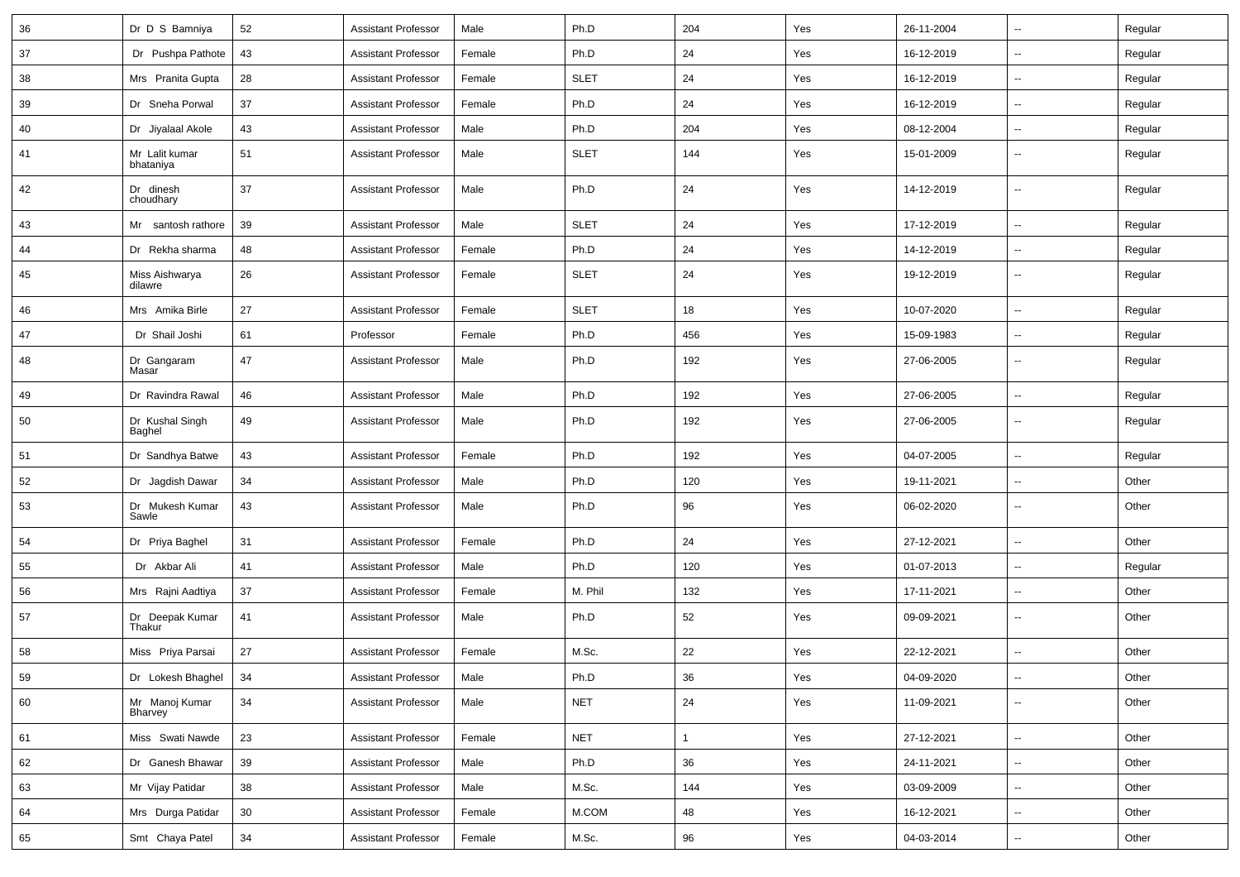| 36 | Dr D S Bamniya              | 52              | <b>Assistant Professor</b> | Male   | Ph.D        | 204          | Yes | 26-11-2004 | $\overline{\phantom{a}}$ | Regular |
|----|-----------------------------|-----------------|----------------------------|--------|-------------|--------------|-----|------------|--------------------------|---------|
| 37 | Dr Pushpa Pathote           | 43              | <b>Assistant Professor</b> | Female | Ph.D        | 24           | Yes | 16-12-2019 | $\overline{\phantom{a}}$ | Regular |
| 38 | Mrs Pranita Gupta           | 28              | <b>Assistant Professor</b> | Female | <b>SLET</b> | 24           | Yes | 16-12-2019 | $\overline{\phantom{a}}$ | Regular |
| 39 | Dr Sneha Porwal             | 37              | <b>Assistant Professor</b> | Female | Ph.D        | 24           | Yes | 16-12-2019 | $\overline{\phantom{a}}$ | Regular |
| 40 | Dr Jiyalaal Akole           | 43              | <b>Assistant Professor</b> | Male   | Ph.D        | 204          | Yes | 08-12-2004 | -−                       | Regular |
| 41 | Mr Lalit kumar<br>bhataniya | 51              | <b>Assistant Professor</b> | Male   | <b>SLET</b> | 144          | Yes | 15-01-2009 | $\overline{\phantom{a}}$ | Regular |
| 42 | Dr dinesh<br>choudhary      | 37              | <b>Assistant Professor</b> | Male   | Ph.D        | 24           | Yes | 14-12-2019 | $\overline{\phantom{a}}$ | Regular |
| 43 | Mr santosh rathore          | 39              | <b>Assistant Professor</b> | Male   | <b>SLET</b> | 24           | Yes | 17-12-2019 | Ξ.                       | Regular |
| 44 | Dr Rekha sharma             | 48              | <b>Assistant Professor</b> | Female | Ph.D        | 24           | Yes | 14-12-2019 | $\sim$                   | Regular |
| 45 | Miss Aishwarya<br>dilawre   | 26              | <b>Assistant Professor</b> | Female | <b>SLET</b> | 24           | Yes | 19-12-2019 | --                       | Regular |
| 46 | Mrs Amika Birle             | 27              | <b>Assistant Professor</b> | Female | <b>SLET</b> | 18           | Yes | 10-07-2020 | $\overline{\phantom{a}}$ | Regular |
| 47 | Dr Shail Joshi              | 61              | Professor                  | Female | Ph.D        | 456          | Yes | 15-09-1983 | $\overline{\phantom{a}}$ | Regular |
| 48 | Dr Gangaram<br>Masar        | 47              | <b>Assistant Professor</b> | Male   | Ph.D        | 192          | Yes | 27-06-2005 | $\overline{\phantom{a}}$ | Regular |
| 49 | Dr Ravindra Rawal           | 46              | <b>Assistant Professor</b> | Male   | Ph.D        | 192          | Yes | 27-06-2005 | $\overline{\phantom{a}}$ | Regular |
| 50 | Dr Kushal Singh<br>Baghel   | 49              | <b>Assistant Professor</b> | Male   | Ph.D        | 192          | Yes | 27-06-2005 |                          | Regular |
| 51 | Dr Sandhya Batwe            | 43              | <b>Assistant Professor</b> | Female | Ph.D        | 192          | Yes | 04-07-2005 | $\overline{\phantom{a}}$ | Regular |
| 52 | Dr Jagdish Dawar            | 34              | <b>Assistant Professor</b> | Male   | Ph.D        | 120          | Yes | 19-11-2021 | $\sim$                   | Other   |
| 53 | Dr Mukesh Kumar<br>Sawle    | 43              | <b>Assistant Professor</b> | Male   | Ph.D        | 96           | Yes | 06-02-2020 | ⊷.                       | Other   |
| 54 | Dr Priya Baghel             | 31              | <b>Assistant Professor</b> | Female | Ph.D        | 24           | Yes | 27-12-2021 | ⊷.                       | Other   |
| 55 | Dr Akbar Ali                | 41              | <b>Assistant Professor</b> | Male   | Ph.D        | 120          | Yes | 01-07-2013 | $\overline{\phantom{a}}$ | Regular |
| 56 | Mrs Rajni Aadtiya           | 37              | <b>Assistant Professor</b> | Female | M. Phil     | 132          | Yes | 17-11-2021 | $\overline{\phantom{a}}$ | Other   |
| 57 | Dr Deepak Kumar<br>Thakur   | 41              | <b>Assistant Professor</b> | Male   | Ph.D        | 52           | Yes | 09-09-2021 | $\overline{\phantom{a}}$ | Other   |
| 58 | Miss Priya Parsai           | 27              | <b>Assistant Professor</b> | Female | M.Sc.       | 22           | Yes | 22-12-2021 | $\overline{\phantom{a}}$ | Other   |
| 59 | Dr Lokesh Bhaghel           | 34              | Assistant Professor        | Male   | Ph.D        | $36\,$       | Yes | 04-09-2020 |                          | Other   |
| 60 | Mr Manoj Kumar<br>Bharvey   | 34              | <b>Assistant Professor</b> | Male   | <b>NET</b>  | 24           | Yes | 11-09-2021 | $\sim$                   | Other   |
| 61 | Miss Swati Nawde            | 23              | <b>Assistant Professor</b> | Female | <b>NET</b>  | $\mathbf{1}$ | Yes | 27-12-2021 | $\sim$                   | Other   |
| 62 | Dr Ganesh Bhawar            | 39              | <b>Assistant Professor</b> | Male   | Ph.D        | 36           | Yes | 24-11-2021 | $\sim$                   | Other   |
| 63 | Mr Vijay Patidar            | 38              | <b>Assistant Professor</b> | Male   | M.Sc.       | 144          | Yes | 03-09-2009 | $\sim$                   | Other   |
| 64 | Mrs Durga Patidar           | 30 <sup>°</sup> | <b>Assistant Professor</b> | Female | M.COM       | 48           | Yes | 16-12-2021 | $\overline{\phantom{a}}$ | Other   |
| 65 | Smt Chaya Patel             | $34\,$          | <b>Assistant Professor</b> | Female | M.Sc.       | 96           | Yes | 04-03-2014 | $\sim$                   | Other   |